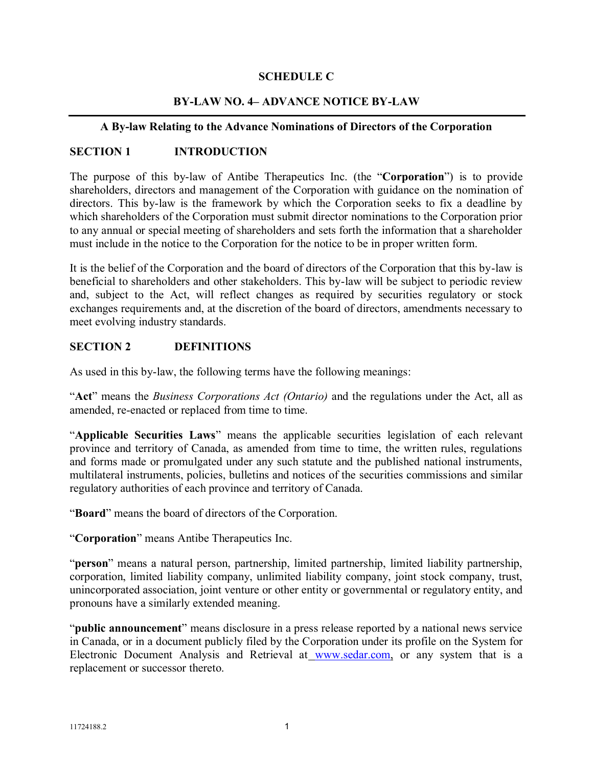## **SCHEDULE C**

## **BY-LAW NO. 4– ADVANCE NOTICE BY-LAW**

#### **A By-law Relating to the Advance Nominations of Directors of the Corporation**

## **SECTION 1 INTRODUCTION**

The purpose of this by-law of Antibe Therapeutics Inc. (the "**Corporation**") is to provide shareholders, directors and management of the Corporation with guidance on the nomination of directors. This by-law is the framework by which the Corporation seeks to fix a deadline by which shareholders of the Corporation must submit director nominations to the Corporation prior to any annual or special meeting of shareholders and sets forth the information that a shareholder must include in the notice to the Corporation for the notice to be in proper written form.

It is the belief of the Corporation and the board of directors of the Corporation that this by-law is beneficial to shareholders and other stakeholders. This by-law will be subject to periodic review and, subject to the Act, will reflect changes as required by securities regulatory or stock exchanges requirements and, at the discretion of the board of directors, amendments necessary to meet evolving industry standards.

## **SECTION 2 DEFINITIONS**

As used in this by-law, the following terms have the following meanings:

"**Act**" means the *Business Corporations Act (Ontario)* and the regulations under the Act, all as amended, re-enacted or replaced from time to time.

"**Applicable Securities Laws**" means the applicable securities legislation of each relevant province and territory of Canada, as amended from time to time, the written rules, regulations and forms made or promulgated under any such statute and the published national instruments, multilateral instruments, policies, bulletins and notices of the securities commissions and similar regulatory authorities of each province and territory of Canada.

"**Board**" means the board of directors of the Corporation.

"**Corporation**" means Antibe Therapeutics Inc.

"**person**" means a natural person, partnership, limited partnership, limited liability partnership, corporation, limited liability company, unlimited liability company, joint stock company, trust, unincorporated association, joint venture or other entity or governmental or regulatory entity, and pronouns have a similarly extended meaning.

"**public announcement**" means disclosure in a press release reported by a national news service in Canada, or in a document publicly filed by the Corporation under its profile on the System for Electronic Document Analysis and Retrieval at [www.sedar.com,](http://www.sedar.com/) or any system that is a replacement or successor thereto.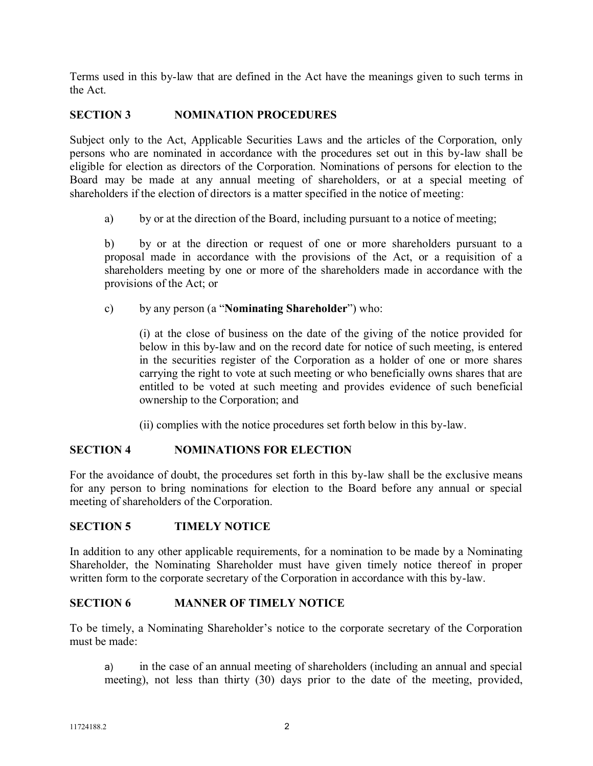Terms used in this by-law that are defined in the Act have the meanings given to such terms in the Act.

# **SECTION 3 NOMINATION PROCEDURES**

Subject only to the Act, Applicable Securities Laws and the articles of the Corporation, only persons who are nominated in accordance with the procedures set out in this by-law shall be eligible for election as directors of the Corporation. Nominations of persons for election to the Board may be made at any annual meeting of shareholders, or at a special meeting of shareholders if the election of directors is a matter specified in the notice of meeting:

a) by or at the direction of the Board, including pursuant to a notice of meeting;

b) by or at the direction or request of one or more shareholders pursuant to a proposal made in accordance with the provisions of the Act, or a requisition of a shareholders meeting by one or more of the shareholders made in accordance with the provisions of the Act; or

c) by any person (a "**Nominating Shareholder**") who:

(i) at the close of business on the date of the giving of the notice provided for below in this by-law and on the record date for notice of such meeting, is entered in the securities register of the Corporation as a holder of one or more shares carrying the right to vote at such meeting or who beneficially owns shares that are entitled to be voted at such meeting and provides evidence of such beneficial ownership to the Corporation; and

(ii) complies with the notice procedures set forth below in this by-law.

#### **SECTION 4 NOMINATIONS FOR ELECTION**

For the avoidance of doubt, the procedures set forth in this by-law shall be the exclusive means for any person to bring nominations for election to the Board before any annual or special meeting of shareholders of the Corporation.

#### **SECTION 5 TIMELY NOTICE**

In addition to any other applicable requirements, for a nomination to be made by a Nominating Shareholder, the Nominating Shareholder must have given timely notice thereof in proper written form to the corporate secretary of the Corporation in accordance with this by-law.

## **SECTION 6 MANNER OF TIMELY NOTICE**

To be timely, a Nominating Shareholder's notice to the corporate secretary of the Corporation must be made:

a) in the case of an annual meeting of shareholders (including an annual and special meeting), not less than thirty (30) days prior to the date of the meeting, provided,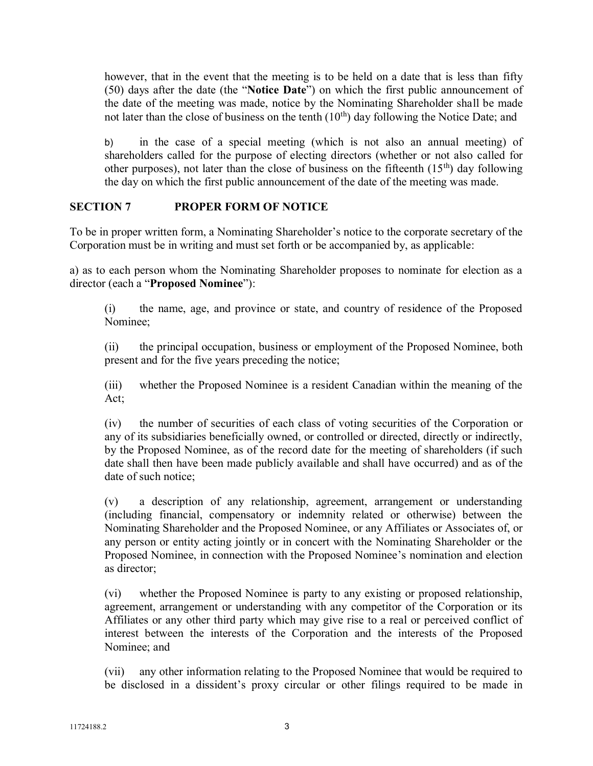however, that in the event that the meeting is to be held on a date that is less than fifty (50) days after the date (the "**Notice Date**") on which the first public announcement of the date of the meeting was made, notice by the Nominating Shareholder shall be made not later than the close of business on the tenth  $(10<sup>th</sup>)$  day following the Notice Date; and

b) in the case of a special meeting (which is not also an annual meeting) of shareholders called for the purpose of electing directors (whether or not also called for other purposes), not later than the close of business on the fifteenth  $(15<sup>th</sup>)$  day following the day on which the first public announcement of the date of the meeting was made.

## **SECTION 7 PROPER FORM OF NOTICE**

To be in proper written form, a Nominating Shareholder's notice to the corporate secretary of the Corporation must be in writing and must set forth or be accompanied by, as applicable:

a) as to each person whom the Nominating Shareholder proposes to nominate for election as a director (each a "**Proposed Nominee**"):

(i) the name, age, and province or state, and country of residence of the Proposed Nominee;

(ii) the principal occupation, business or employment of the Proposed Nominee, both present and for the five years preceding the notice;

(iii) whether the Proposed Nominee is a resident Canadian within the meaning of the Act;

(iv) the number of securities of each class of voting securities of the Corporation or any of its subsidiaries beneficially owned, or controlled or directed, directly or indirectly, by the Proposed Nominee, as of the record date for the meeting of shareholders (if such date shall then have been made publicly available and shall have occurred) and as of the date of such notice;

(v) a description of any relationship, agreement, arrangement or understanding (including financial, compensatory or indemnity related or otherwise) between the Nominating Shareholder and the Proposed Nominee, or any Affiliates or Associates of, or any person or entity acting jointly or in concert with the Nominating Shareholder or the Proposed Nominee, in connection with the Proposed Nominee's nomination and election as director;

(vi) whether the Proposed Nominee is party to any existing or proposed relationship, agreement, arrangement or understanding with any competitor of the Corporation or its Affiliates or any other third party which may give rise to a real or perceived conflict of interest between the interests of the Corporation and the interests of the Proposed Nominee; and

(vii) any other information relating to the Proposed Nominee that would be required to be disclosed in a dissident's proxy circular or other filings required to be made in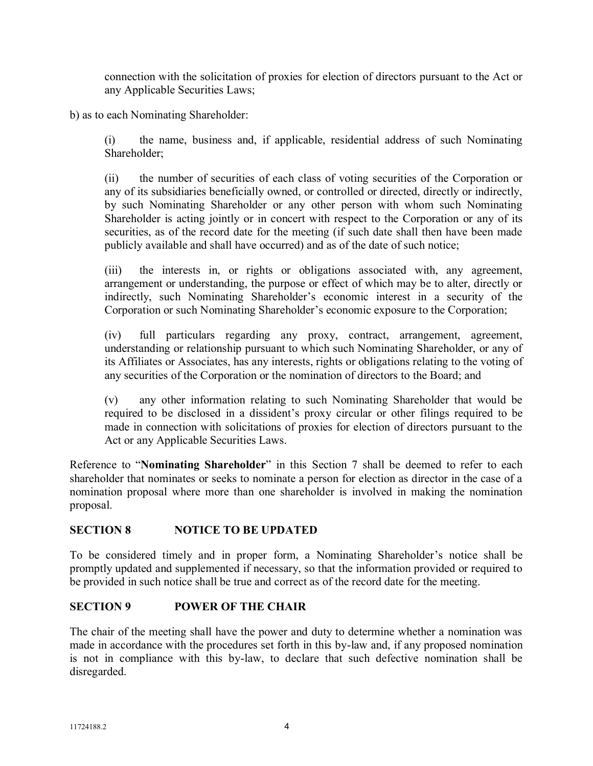connection with the solicitation of proxies for election of directors pursuant to the Act or any Applicable Securities Laws;

b) as to each Nominating Shareholder:

(i) the name, business and, if applicable, residential address of such Nominating Shareholder;

(ii) the number of securities of each class of voting securities of the Corporation or any of its subsidiaries beneficially owned, or controlled or directed, directly or indirectly, by such Nominating Shareholder or any other person with whom such Nominating Shareholder is acting jointly or in concert with respect to the Corporation or any of its securities, as of the record date for the meeting (if such date shall then have been made publicly available and shall have occurred) and as of the date of such notice;

(iii) the interests in, or rights or obligations associated with, any agreement, arrangement or understanding, the purpose or effect of which may be to alter, directly or indirectly, such Nominating Shareholder's economic interest in a security of the Corporation or such Nominating Shareholder's economic exposure to the Corporation;

(iv) full particulars regarding any proxy, contract, arrangement, agreement, understanding or relationship pursuant to which such Nominating Shareholder, or any of its Affiliates or Associates, has any interests, rights or obligations relating to the voting of any securities of the Corporation or the nomination of directors to the Board; and

(v) any other information relating to such Nominating Shareholder that would be required to be disclosed in a dissident's proxy circular or other filings required to be made in connection with solicitations of proxies for election of directors pursuant to the Act or any Applicable Securities Laws.

Reference to "**Nominating Shareholder**" in this Section 7 shall be deemed to refer to each shareholder that nominates or seeks to nominate a person for election as director in the case of a nomination proposal where more than one shareholder is involved in making the nomination proposal.

# **SECTION 8 NOTICE TO BE UPDATED**

To be considered timely and in proper form, a Nominating Shareholder's notice shall be promptly updated and supplemented if necessary, so that the information provided or required to be provided in such notice shall be true and correct as of the record date for the meeting.

# **SECTION 9 POWER OF THE CHAIR**

The chair of the meeting shall have the power and duty to determine whether a nomination was made in accordance with the procedures set forth in this by-law and, if any proposed nomination is not in compliance with this by-law, to declare that such defective nomination shall be disregarded.